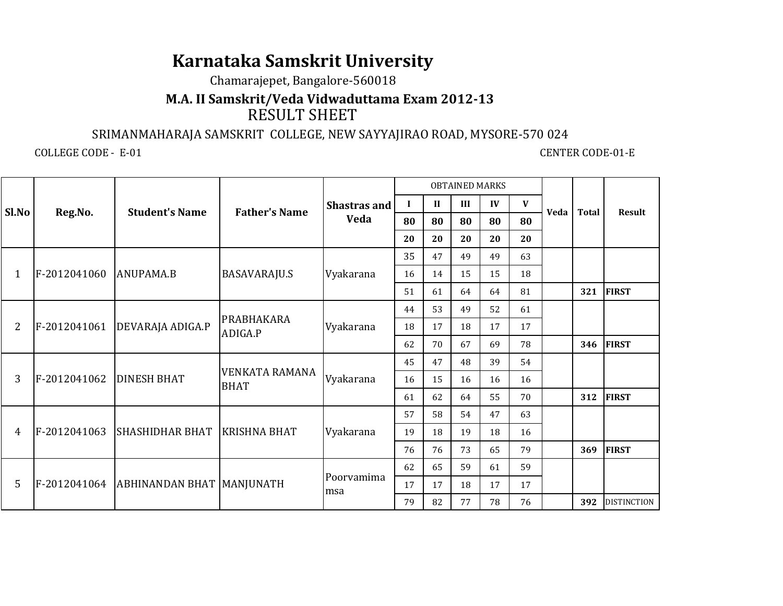# **Karnataka Samskrit University**

## Chamarajepet, Bangalore-560018

# RESULT SHEET**M.A. II Samskrit/Veda Vidwaduttama Exam 2012-13**

## SRIMANMAHARAJA SAMSKRIT COLLEGE, NEW SAYYAJIRAO ROAD, MYSORE-570 024

COLLEGE CODE - E-01

#### **CENTER CODE-01-E**

|                |              |                                            |                       |                   |          |                            |     | <b>OBTAINED MARKS</b> |              |      |              |                    |
|----------------|--------------|--------------------------------------------|-----------------------|-------------------|----------|----------------------------|-----|-----------------------|--------------|------|--------------|--------------------|
| Sl.No          |              | <b>Student's Name</b>                      | <b>Father's Name</b>  | Shastras and      | $\bf{I}$ | $\mathbf{I}$               | III | IV                    | $\mathbf{V}$ | Veda | <b>Total</b> | <b>Result</b>      |
|                | Reg.No.      |                                            |                       | <b>Veda</b>       | 80       | 80                         | 80  | 80                    | 80           |      |              |                    |
|                |              |                                            |                       |                   | 20       | 20                         | 20  | 20                    | 20           |      |              |                    |
|                |              | ANUPAMA.B                                  | <b>BASAVARAJU.S</b>   | Vyakarana         | 35       | 47                         | 49  | 49                    | 63           |      |              |                    |
| 1              | F-2012041060 |                                            |                       |                   | 16       | 14                         | 15  | 15                    | 18           |      |              |                    |
|                |              |                                            |                       |                   | 51       | 61                         | 64  | 64                    | 81           |      | 321          | <b>FIRST</b>       |
|                |              |                                            | PRABHAKARA            |                   | 44       | 53                         | 49  | 52                    | 61           |      |              |                    |
| $\overline{2}$ | F-2012041061 | DEVARAJA ADIGA.P                           | ADIGA.P               | Vyakarana         | 18       | 17<br>18<br>62<br>70<br>67 |     | 17                    | 17           |      |              |                    |
|                |              |                                            |                       |                   |          |                            |     | 69                    | 78           |      | 346          | <b>FIRST</b>       |
|                |              |                                            | <b>VENKATA RAMANA</b> |                   | 45       | 47                         | 48  | 39                    | 54           |      |              |                    |
| 3              | F-2012041062 | <b>DINESH BHAT</b>                         | <b>BHAT</b>           | Vyakarana         | 16       | 15                         | 16  | 16                    | 16           |      |              |                    |
|                |              |                                            |                       |                   | 61       | 62                         | 64  | 55                    | 70           |      | 312          | <b>FIRST</b>       |
|                |              |                                            |                       |                   | 57       | 58                         | 54  | 47                    | 63           |      |              |                    |
| 4              | F-2012041063 | <b>SHASHIDHAR BHAT</b>                     | <b>KRISHNA BHAT</b>   | Vyakarana         | 19       | 18                         | 19  | 18                    | 16           |      |              |                    |
|                |              |                                            |                       |                   | 76       | 76                         | 73  | 65                    | 79           |      | 369          | <b>FIRST</b>       |
|                |              | F-2012041064   ABHINANDAN BHAT   MANJUNATH |                       | Poorvamima<br>msa | 62       | 65                         | 59  | 61                    | 59           |      |              |                    |
| 5              |              |                                            |                       |                   | 17       | 17                         | 18  | 17                    | 17           |      |              |                    |
|                |              |                                            |                       |                   | 79       | 82                         | 77  | 78                    | 76           |      | 392          | <b>DISTINCTION</b> |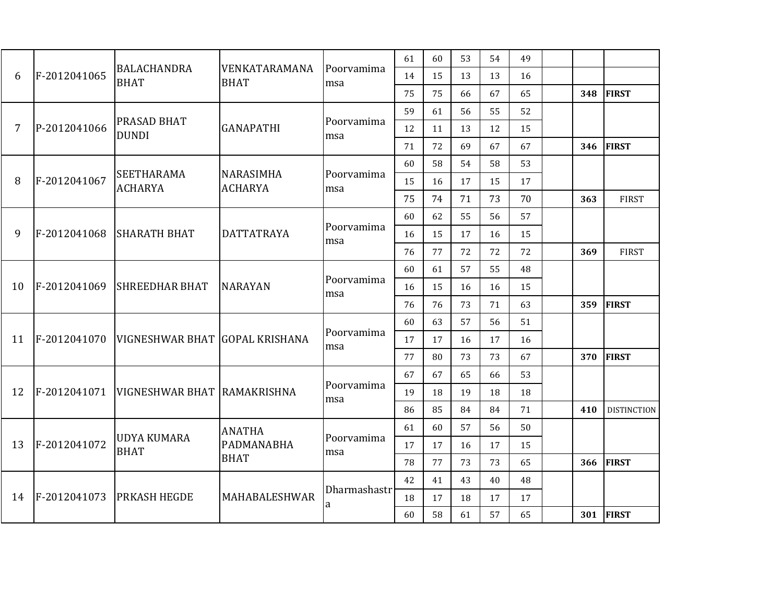|    |              |                                     |                              |                   | 61       | 60 | 53 | 54 | 49 |     |                    |
|----|--------------|-------------------------------------|------------------------------|-------------------|----------|----|----|----|----|-----|--------------------|
| 6  | F-2012041065 | <b>BALACHANDRA</b><br><b>BHAT</b>   | VENKATARAMANA<br><b>BHAT</b> | Poorvamima<br>msa | 14       | 15 | 13 | 13 | 16 |     |                    |
|    |              |                                     |                              |                   | 75       | 75 | 66 | 67 | 65 | 348 | <b>FIRST</b>       |
|    |              |                                     |                              |                   | 59       | 61 | 56 | 55 | 52 |     |                    |
| 7  | P-2012041066 | PRASAD BHAT<br><b>DUNDI</b>         | <b>GANAPATHI</b>             | Poorvamima<br>msa | 12       | 11 | 13 | 12 | 15 |     |                    |
|    |              |                                     |                              |                   | 71       | 72 | 69 | 67 | 67 | 346 | <b>FIRST</b>       |
|    |              |                                     |                              |                   | 60       | 58 | 54 | 58 | 53 |     |                    |
| 8  | F-2012041067 | <b>SEETHARAMA</b><br><b>ACHARYA</b> | NARASIMHA<br><b>ACHARYA</b>  | Poorvamima<br>msa | 15       | 16 | 17 | 15 | 17 |     |                    |
|    |              |                                     |                              |                   | 75       | 74 | 71 | 73 | 70 | 363 | <b>FIRST</b>       |
|    |              |                                     |                              |                   | 60       | 62 | 55 | 56 | 57 |     |                    |
| 9  | F-2012041068 | <b>SHARATH BHAT</b>                 | <b>DATTATRAYA</b>            | Poorvamima<br>msa | 16       | 15 | 17 | 16 | 15 |     |                    |
|    |              |                                     |                              |                   | 76       | 77 | 72 | 72 | 72 | 369 | <b>FIRST</b>       |
|    |              |                                     |                              |                   | 60       | 61 | 57 | 55 | 48 |     |                    |
| 10 | F-2012041069 | <b>SHREEDHAR BHAT</b>               | <b>NARAYAN</b>               | Poorvamima<br>msa | 16<br>15 |    | 16 | 16 | 15 |     |                    |
|    |              |                                     |                              |                   | 76       | 76 | 73 | 71 | 63 | 359 | <b>FIRST</b>       |
|    |              |                                     |                              |                   | 60       | 63 | 57 | 56 | 51 |     |                    |
| 11 | F-2012041070 | VIGNESHWAR BHAT GOPAL KRISHANA      |                              | Poorvamima<br>msa | 17       | 17 | 16 | 17 | 16 |     |                    |
|    |              |                                     |                              |                   | 77       | 80 | 73 | 73 | 67 | 370 | <b>FIRST</b>       |
|    |              |                                     |                              |                   | 67       | 67 | 65 | 66 | 53 |     |                    |
| 12 | F-2012041071 | VIGNESHWAR BHAT RAMAKRISHNA         |                              | Poorvamima<br>msa | 19       | 18 | 19 | 18 | 18 |     |                    |
|    |              |                                     |                              |                   | 86       | 85 | 84 | 84 | 71 | 410 | <b>DISTINCTION</b> |
|    |              | <b>UDYA KUMARA</b><br><b>BHAT</b>   | <b>ANATHA</b>                |                   | 61       | 60 | 57 | 56 | 50 |     |                    |
| 13 | F-2012041072 |                                     | PADMANABHA<br><b>BHAT</b>    | Poorvamima<br>msa | 17       | 17 | 16 | 17 | 15 |     |                    |
|    |              |                                     |                              |                   | 78       | 77 | 73 | 73 | 65 | 366 | <b>FIRST</b>       |
|    |              |                                     | MAHABALESHWAR                |                   | 42       | 41 | 43 | 40 | 48 |     |                    |
| 14 | F-2012041073 | <b>PRKASH HEGDE</b>                 |                              | Dharmashastr<br>a | 18       | 17 | 18 | 17 | 17 |     |                    |
|    |              |                                     |                              |                   | 60       | 58 | 61 | 57 | 65 | 301 | <b>FIRST</b>       |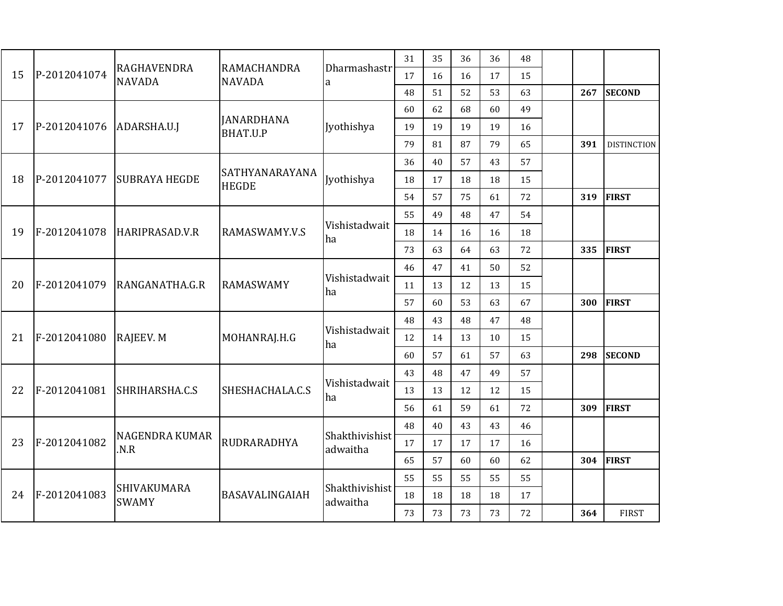|    |              | RAGHAVENDRA<br><b>NAVADA</b> | RAMACHANDRA<br><b>NAVADA</b>   | Dharmashastr<br>a          | 31 | 35 | 36 | 36       | 48 |     |                    |  |
|----|--------------|------------------------------|--------------------------------|----------------------------|----|----|----|----------|----|-----|--------------------|--|
| 15 | P-2012041074 |                              |                                |                            | 17 | 16 | 16 | 17       | 15 |     |                    |  |
|    |              |                              |                                |                            | 48 | 51 | 52 | 53       | 63 | 267 | <b>SECOND</b>      |  |
|    | P-2012041076 |                              |                                |                            | 60 | 62 | 68 | 60       | 49 |     |                    |  |
| 17 |              | ADARSHA.U.J                  | <b>JANARDHANA</b><br>BHAT.U.P  | Jyothishya                 | 19 | 19 | 19 | 19       | 16 |     |                    |  |
|    |              |                              |                                |                            | 79 | 81 | 87 | 79       | 65 | 391 | <b>DISTINCTION</b> |  |
|    |              |                              |                                |                            | 36 | 40 | 57 | 43       | 57 |     |                    |  |
| 18 | P-2012041077 | <b>SUBRAYA HEGDE</b>         | SATHYANARAYANA<br><b>HEGDE</b> | Jyothishya                 | 18 | 17 | 18 | 18       | 15 |     |                    |  |
|    |              |                              |                                |                            | 54 | 57 | 75 | 61       | 72 | 319 | <b>FIRST</b>       |  |
| 19 |              |                              |                                |                            | 55 | 49 | 48 | 47       | 54 |     |                    |  |
|    | F-2012041078 | HARIPRASAD.V.R               | RAMASWAMY.V.S                  | Vishistadwait<br>ha        | 18 | 14 | 16 | 16       | 18 |     |                    |  |
|    |              |                              |                                |                            | 73 | 63 | 64 | 63       | 72 | 335 | <b>FIRST</b>       |  |
|    | F-2012041079 |                              |                                |                            | 46 | 47 | 41 | 52<br>50 |    |     |                    |  |
| 20 |              | RANGANATHA.G.R               | <b>RAMASWAMY</b>               | Vishistadwait<br>ha.       | 11 | 13 | 12 | 13       | 15 |     |                    |  |
|    |              |                              |                                |                            | 57 | 60 | 53 | 63       | 67 | 300 | <b>FIRST</b>       |  |
|    |              |                              |                                |                            | 48 | 43 | 48 | 47       | 48 |     |                    |  |
| 21 | F-2012041080 | RAJEEV. M                    | MOHANRAJ.H.G                   | Vishistadwait<br>ha        | 12 | 14 | 13 | 10       | 15 |     |                    |  |
|    |              |                              |                                |                            | 60 | 57 | 61 | 57       | 63 | 298 | <b>SECOND</b>      |  |
|    |              |                              |                                |                            | 43 | 48 | 47 | 49       | 57 |     |                    |  |
| 22 | F-2012041081 | SHRIHARSHA.C.S               | SHESHACHALA.C.S                | Vishistadwait<br>ha        | 13 | 13 | 12 | 12       | 15 |     |                    |  |
|    |              |                              |                                |                            | 56 | 61 | 59 | 61       | 72 | 309 | <b>FIRST</b>       |  |
|    |              |                              |                                |                            | 48 | 40 | 43 | 43       | 46 |     |                    |  |
| 23 | F-2012041082 | NAGENDRA KUMAR<br>.N.R       | RUDRARADHYA                    | Shakthivishist<br>adwaitha | 17 | 17 | 17 | 17       | 16 |     |                    |  |
|    |              |                              |                                |                            | 65 | 57 | 60 | 60       | 62 | 304 | <b>FIRST</b>       |  |
|    |              | SHIVAKUMARA<br><b>SWAMY</b>  | BASAVALINGAIAH                 | Shakthivishist<br>adwaitha | 55 | 55 | 55 | 55       | 55 |     |                    |  |
| 24 | F-2012041083 |                              |                                |                            |    | 18 | 18 | 18       | 18 | 17  |                    |  |
|    |              |                              |                                |                            | 73 | 73 | 73 | 73       | 72 | 364 | <b>FIRST</b>       |  |